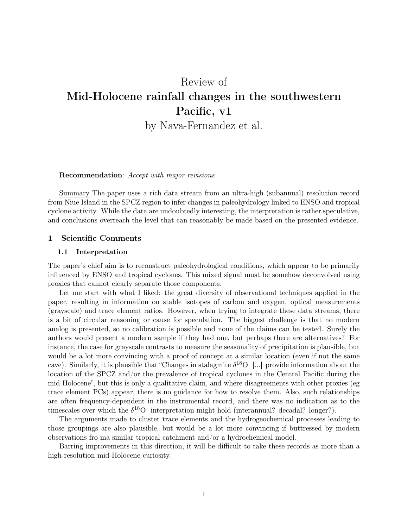# Review of Mid-Holocene rainfall changes in the southwestern Pacific, v1

by Nava-Fernandez et al.

#### Recommendation: *Accept with major revisions*

Summary The paper uses a rich data stream from an ultra-high (subannual) resolution record from Niue Island in the SPCZ region to infer changes in paleohydrology linked to ENSO and tropical cyclone activity. While the data are undoubtedly interesting, the interpretation is rather speculative, and conclusions overreach the level that can reasonably be made based on the presented evidence.

#### 1 Scientific Comments

#### 1.1 Interpretation

The paper's chief aim is to reconstruct paleohydrological conditions, which appear to be primarily influenced by ENSO and tropical cyclones. This mixed signal must be somehow deconvolved using proxies that cannot clearly separate those components.

Let me start with what I liked: the great diversity of observational techniques applied in the paper, resulting in information on stable isotopes of carbon and oxygen, optical measurements (grayscale) and trace element ratios. However, when trying to integrate these data streams, there is a bit of circular reasoning or cause for speculation. The biggest challenge is that no modern analog is presented, so no calibration is possible and none of the claims can be tested. Surely the authors would present a modern sample if they had one, but perhaps there are alternatives? For instance, the case for grayscale contrasts to measure the seasonality of precipitation is plausible, but would be a lot more convincing with a proof of concept at a similar location (even if not the same cave). Similarly, it is plausible that "Changes in stalagmite  $\delta^{18}O$  [...] provide information about the location of the SPCZ and/or the prevalence of tropical cyclones in the Central Pacific during the mid-Holocene", but this is only a qualitative claim, and where disagreements with other proxies (eg trace element PCs) appear, there is no guidance for how to resolve them. Also, such relationships are often frequency-dependent in the instrumental record, and there was no indication as to the timescales over which the  $\delta^{18}O$  interpretation might hold (interannual? decadal? longer?).

The arguments made to cluster trace elements and the hydrogeochemical processes leading to those groupings are also plausible, but would be a lot more convincing if buttressed by modern observations fro ma similar tropical catchment and/or a hydrochemical model.

Barring improvements in this direction, it will be difficult to take these records as more than a high-resolution mid-Holocene curiosity.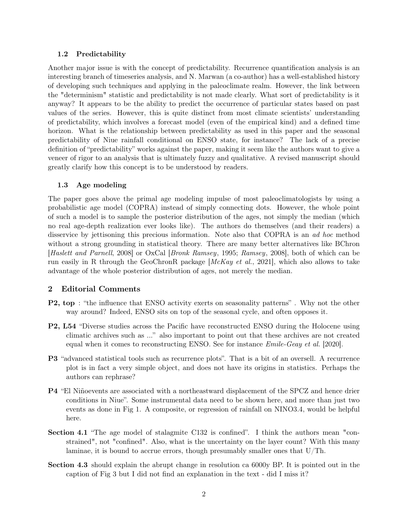### 1.2 Predictability

Another major issue is with the concept of predictability. Recurrence quantification analysis is an interesting branch of timeseries analysis, and N. Marwan (a co-author) has a well-established history of developing such techniques and applying in the paleoclimate realm. However, the link between the "determinism" statistic and predictability is not made clearly. What sort of predictability is it anyway? It appears to be the ability to predict the occurrence of particular states based on past values of the series. However, this is quite distinct from most climate scientists' understanding of predictability, which involves a forecast model (even of the empirical kind) and a defined time horizon. What is the relationship between predictability as used in this paper and the seasonal predictability of Niue rainfall conditional on ENSO state, for instance? The lack of a precise definition of "predictability" works against the paper, making it seem like the authors want to give a veneer of rigor to an analysis that is ultimately fuzzy and qualitative. A revised manuscript should greatly clarify how this concept is to be understood by readers.

#### 1.3 Age modeling

The paper goes above the primal age modeling impulse of most paleoclimatologists by using a probabilistic age model (COPRA) instead of simply connecting dots. However, the whole point of such a model is to sample the posterior distribution of the ages, not simply the median (which no real age-depth realization ever looks like). The authors do themselves (and their readers) a disservice by jettisoning this precious information. Note also that COPRA is an *ad hoc* method without a strong grounding in statistical theory. There are many better alternatives like BChron [*Haslett and Parnell*, 2008] or OxCal [*Bronk Ramsey*, 1995; *Ramsey*, 2008], both of which can be run easily in R through the GeoChronR package [*McKay et al.*, 2021], which also allows to take advantage of the whole posterior distribution of ages, not merely the median.

## 2 Editorial Comments

- P2, top : "the influence that ENSO activity exerts on seasonality patterns" . Why not the other way around? Indeed, ENSO sits on top of the seasonal cycle, and often opposes it.
- P2, L54 "Diverse studies across the Pacific have reconstructed ENSO during the Holocene using climatic archives such as ..." also important to point out that these archives are not created equal when it comes to reconstructing ENSO. See for instance *Emile-Geay et al.* [2020].
- P3 "advanced statistical tools such as recurrence plots". That is a bit of an oversell. A recurrence plot is in fact a very simple object, and does not have its origins in statistics. Perhaps the authors can rephrase?
- P4 "El Niñoevents are associated with a northeastward displacement of the SPCZ and hence drier conditions in Niue". Some instrumental data need to be shown here, and more than just two events as done in Fig 1. A composite, or regression of rainfall on NINO3.4, would be helpful here.
- Section 4.1 "The age model of stalagmite C132 is confined". I think the authors mean "constrained", not "confined". Also, what is the uncertainty on the layer count? With this many laminae, it is bound to accrue errors, though presumably smaller ones that U/Th.
- Section 4.3 should explain the abrupt change in resolution ca 6000y BP. It is pointed out in the caption of Fig 3 but I did not find an explanation in the text - did I miss it?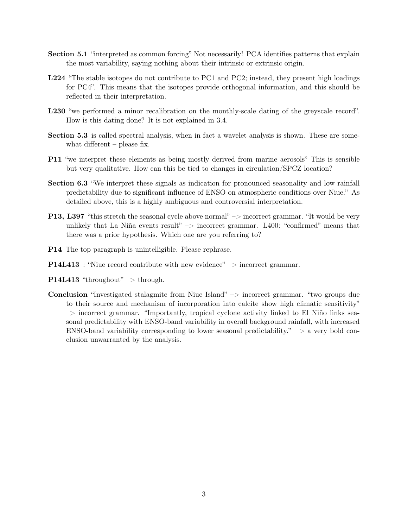- Section 5.1 "interpreted as common forcing" Not necessarily! PCA identifies patterns that explain the most variability, saying nothing about their intrinsic or extrinsic origin.
- L224 "The stable isotopes do not contribute to PC1 and PC2; instead, they present high loadings for PC4". This means that the isotopes provide orthogonal information, and this should be reflected in their interpretation.
- L230 "we performed a minor recalibration on the monthly-scale dating of the greyscale record". How is this dating done? It is not explained in 3.4.
- Section 5.3 is called spectral analysis, when in fact a wavelet analysis is shown. These are somewhat different – please fix.
- P11 "we interpret these elements as being mostly derived from marine aerosols" This is sensible but very qualitative. How can this be tied to changes in circulation/SPCZ location?
- Section 6.3 "We interpret these signals as indication for pronounced seasonality and low rainfall predictability due to significant influence of ENSO on atmospheric conditions over Niue." As detailed above, this is a highly ambiguous and controversial interpretation.
- P13, L397 "this stretch the seasonal cycle above normal" –> incorrect grammar. "It would be very unlikely that La Niña events result"  $\rightarrow$  incorrect grammar. L400: "confirmed" means that there was a prior hypothesis. Which one are you referring to?
- P14 The top paragraph is unintelligible. Please rephrase.
- **P14L413** : "Niue record contribute with new evidence"  $\rightarrow$  incorrect grammar.
- **P14L413** "throughout"  $\Rightarrow$  through.
- **Conclusion** "Investigated stalagmite from Niue Island"  $\rightarrow$  incorrect grammar. "two groups due to their source and mechanism of incorporation into calcite show high climatic sensitivity"  $\rightarrow$  incorrect grammar. "Importantly, tropical cyclone activity linked to El Niño links seasonal predictability with ENSO-band variability in overall background rainfall, with increased ENSO-band variability corresponding to lower seasonal predictability."  $\Rightarrow$  a very bold conclusion unwarranted by the analysis.